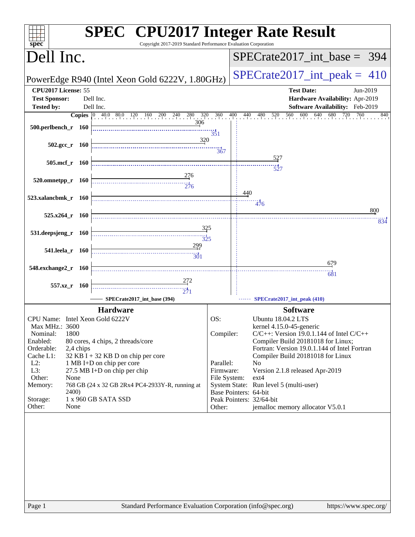| spec <sup>®</sup>                    | <b>SPEC<sup>®</sup></b> CPU2017 Integer Rate Result<br>Copyright 2017-2019 Standard Performance Evaluation Corporation |                 |                                                                                       |
|--------------------------------------|------------------------------------------------------------------------------------------------------------------------|-----------------|---------------------------------------------------------------------------------------|
| Dell Inc.                            |                                                                                                                        |                 | $SPECrate2017\_int\_base = 394$                                                       |
|                                      | PowerEdge R940 (Intel Xeon Gold 6222V, 1.80GHz)                                                                        |                 | $SPECTate2017\_int\_peak = 410$                                                       |
| CPU2017 License: 55                  |                                                                                                                        |                 | <b>Test Date:</b><br>Jun-2019                                                         |
| <b>Test Sponsor:</b>                 | Dell Inc.                                                                                                              |                 | Hardware Availability: Apr-2019                                                       |
| <b>Tested by:</b>                    | Dell Inc.                                                                                                              |                 | Software Availability: Feb-2019                                                       |
|                                      | <b>Copies</b> 0 40.0 80.0 120 160 200 240 280 320 360                                                                  |                 | 560 600 640<br>680<br>$\frac{400}{1}$<br>$\frac{720}{1}$<br>760<br>440 480 520<br>840 |
|                                      | 306                                                                                                                    |                 |                                                                                       |
| 500.perlbench_r 160                  |                                                                                                                        | $\frac{1}{351}$ |                                                                                       |
|                                      | 320                                                                                                                    |                 |                                                                                       |
| $502.\text{gcc}_r$ 160               |                                                                                                                        | 367             |                                                                                       |
|                                      |                                                                                                                        |                 |                                                                                       |
| 505.mcf r 160                        |                                                                                                                        |                 | $\frac{1}{527}$                                                                       |
|                                      | 276                                                                                                                    |                 |                                                                                       |
| $520.0$ mnetpp_r $160$               |                                                                                                                        |                 |                                                                                       |
|                                      |                                                                                                                        |                 | 440                                                                                   |
| 523.xalancbmk_r 160                  |                                                                                                                        |                 |                                                                                       |
|                                      |                                                                                                                        |                 | 476<br>800                                                                            |
| $525.x264$ r $160$                   |                                                                                                                        |                 |                                                                                       |
|                                      |                                                                                                                        |                 | 834                                                                                   |
| 531.deepsjeng_r 160                  | 325                                                                                                                    |                 |                                                                                       |
|                                      | $\frac{1}{325}$                                                                                                        |                 |                                                                                       |
| 541.leela_r 160                      | 299                                                                                                                    |                 |                                                                                       |
|                                      | $\frac{1}{301}$                                                                                                        |                 |                                                                                       |
| 548.exchange2_r 160                  |                                                                                                                        |                 | <u>679</u>                                                                            |
|                                      |                                                                                                                        |                 | 681                                                                                   |
| 557.xz_r 160                         |                                                                                                                        |                 |                                                                                       |
|                                      | $\frac{1}{271}$                                                                                                        |                 |                                                                                       |
|                                      | SPECrate2017_int_base (394)                                                                                            |                 | SPECrate2017_int_peak (410)                                                           |
|                                      | <b>Hardware</b>                                                                                                        |                 | <b>Software</b>                                                                       |
| CPU Name: Intel Xeon Gold 6222V      |                                                                                                                        | OS:             | Ubuntu 18.04.2 LTS                                                                    |
| Max MHz.: 3600                       |                                                                                                                        |                 | kernel 4.15.0-45-generic                                                              |
| 1800<br>Nominal:                     |                                                                                                                        | Compiler:       | $C/C++$ : Version 19.0.1.144 of Intel $C/C++$                                         |
| Enabled:                             | 80 cores, 4 chips, 2 threads/core                                                                                      |                 | Compiler Build 20181018 for Linux;                                                    |
| Orderable:<br>2,4 chips<br>Cache L1: | $32$ KB I + 32 KB D on chip per core                                                                                   |                 | Fortran: Version 19.0.1.144 of Intel Fortran<br>Compiler Build 20181018 for Linux     |
| $L2$ :                               | 1 MB I+D on chip per core                                                                                              | Parallel:       | N <sub>0</sub>                                                                        |
| L3:                                  | 27.5 MB I+D on chip per chip                                                                                           | Firmware:       | Version 2.1.8 released Apr-2019                                                       |
| Other:<br>None                       |                                                                                                                        | File System:    | ext4                                                                                  |
| Memory:                              | 768 GB (24 x 32 GB 2Rx4 PC4-2933Y-R, running at                                                                        |                 | System State: Run level 5 (multi-user)                                                |
| <b>2400</b> )                        |                                                                                                                        |                 | Base Pointers: 64-bit                                                                 |
| Storage:<br>Other:<br>None           | 1 x 960 GB SATA SSD                                                                                                    | Other:          | Peak Pointers: 32/64-bit<br>jemalloc memory allocator V5.0.1                          |
|                                      |                                                                                                                        |                 |                                                                                       |
|                                      |                                                                                                                        |                 |                                                                                       |
|                                      |                                                                                                                        |                 |                                                                                       |
|                                      |                                                                                                                        |                 |                                                                                       |
|                                      |                                                                                                                        |                 |                                                                                       |
|                                      |                                                                                                                        |                 |                                                                                       |
|                                      |                                                                                                                        |                 |                                                                                       |
|                                      |                                                                                                                        |                 |                                                                                       |
|                                      |                                                                                                                        |                 |                                                                                       |
|                                      |                                                                                                                        |                 |                                                                                       |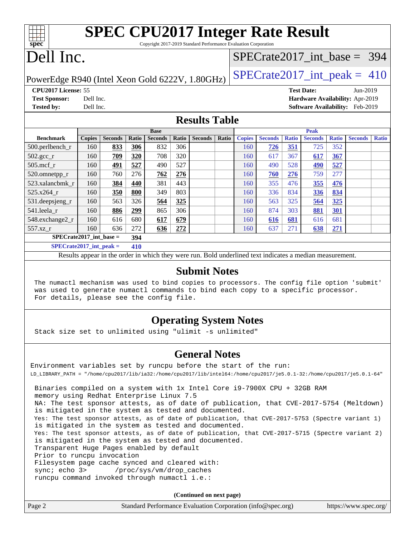| <b>SPEC CPU2017 Integer Rate Result</b>                         |  |
|-----------------------------------------------------------------|--|
| Copyright 2017-2019 Standard Performance Evaluation Corporation |  |
|                                                                 |  |

# Dell Inc.

**[spec](http://www.spec.org/)**

### [SPECrate2017\\_int\\_base =](http://www.spec.org/auto/cpu2017/Docs/result-fields.html#SPECrate2017intbase) 394

PowerEdge R940 (Intel Xeon Gold 6222V, 1.80GHz)  $\left|$  [SPECrate2017\\_int\\_peak =](http://www.spec.org/auto/cpu2017/Docs/result-fields.html#SPECrate2017intpeak) 410

**[CPU2017 License:](http://www.spec.org/auto/cpu2017/Docs/result-fields.html#CPU2017License)** 55 **[Test Date:](http://www.spec.org/auto/cpu2017/Docs/result-fields.html#TestDate)** Jun-2019 **[Test Sponsor:](http://www.spec.org/auto/cpu2017/Docs/result-fields.html#TestSponsor)** Dell Inc. **[Hardware Availability:](http://www.spec.org/auto/cpu2017/Docs/result-fields.html#HardwareAvailability)** Apr-2019 **[Tested by:](http://www.spec.org/auto/cpu2017/Docs/result-fields.html#Testedby)** Dell Inc. **[Software Availability:](http://www.spec.org/auto/cpu2017/Docs/result-fields.html#SoftwareAvailability)** Feb-2019

### **[Results Table](http://www.spec.org/auto/cpu2017/Docs/result-fields.html#ResultsTable)**

|                             | <b>Base</b>   |                |       |                |       | <b>Peak</b>    |       |               |                |              |                |              |                |              |
|-----------------------------|---------------|----------------|-------|----------------|-------|----------------|-------|---------------|----------------|--------------|----------------|--------------|----------------|--------------|
| <b>Benchmark</b>            | <b>Copies</b> | <b>Seconds</b> | Ratio | <b>Seconds</b> | Ratio | <b>Seconds</b> | Ratio | <b>Copies</b> | <b>Seconds</b> | <b>Ratio</b> | <b>Seconds</b> | <b>Ratio</b> | <b>Seconds</b> | <b>Ratio</b> |
| 500.perlbench_r             | 160           | 833            | 306   | 832            | 306   |                |       | 160           | 726            | 351          | 725            | 352          |                |              |
| $502.\text{gcc\_r}$         | 160           | 709            | 320   | 708            | 320   |                |       | 160           | 617            | 367          | 617            | <u>367</u>   |                |              |
| $505$ .mcf r                | 160           | 491            | 527   | 490            | 527   |                |       | 160           | 490            | 528          | <u>490</u>     | 527          |                |              |
| 520.omnetpp_r               | 160           | 760            | 276   | 762            | 276   |                |       | 160           | 760            | 276          | 759            | 277          |                |              |
| 523.xalancbmk r             | 160           | 384            | 440   | 381            | 443   |                |       | 160           | 355            | 476          | 355            | 476          |                |              |
| 525.x264 r                  | 160           | 350            | 800   | 349            | 803   |                |       | 160           | 336            | 834          | <u>336</u>     | 834          |                |              |
| 531.deepsjeng_r             | 160           | 563            | 326   | 564            | 325   |                |       | 160           | 563            | 325          | 564            | 325          |                |              |
| 541.leela r                 | 160           | 886            | 299   | 865            | 306   |                |       | 160           | 874            | 303          | 881            | <u>301</u>   |                |              |
| 548.exchange2_r             | 160           | 616            | 680   | 617            | 679   |                |       | 160           | 616            | 681          | 616            | 681          |                |              |
| $557.xz$ _r                 | 160           | 636            | 272   | 636            | 272   |                |       | 160           | 637            | 271          | 638            | 271          |                |              |
| $SPECrate2017$ int base =   |               |                | 394   |                |       |                |       |               |                |              |                |              |                |              |
| $SPECrate2017\_int\_peak =$ |               |                | 410   |                |       |                |       |               |                |              |                |              |                |              |

Results appear in the [order in which they were run](http://www.spec.org/auto/cpu2017/Docs/result-fields.html#RunOrder). Bold underlined text [indicates a median measurement](http://www.spec.org/auto/cpu2017/Docs/result-fields.html#Median).

### **[Submit Notes](http://www.spec.org/auto/cpu2017/Docs/result-fields.html#SubmitNotes)**

 The numactl mechanism was used to bind copies to processors. The config file option 'submit' was used to generate numactl commands to bind each copy to a specific processor. For details, please see the config file.

### **[Operating System Notes](http://www.spec.org/auto/cpu2017/Docs/result-fields.html#OperatingSystemNotes)**

Stack size set to unlimited using "ulimit -s unlimited"

### **[General Notes](http://www.spec.org/auto/cpu2017/Docs/result-fields.html#GeneralNotes)**

Environment variables set by runcpu before the start of the run: LD\_LIBRARY\_PATH = "/home/cpu2017/lib/ia32:/home/cpu2017/lib/intel64:/home/cpu2017/je5.0.1-32:/home/cpu2017/je5.0.1-64" Binaries compiled on a system with 1x Intel Core i9-7900X CPU + 32GB RAM memory using Redhat Enterprise Linux 7.5 NA: The test sponsor attests, as of date of publication, that CVE-2017-5754 (Meltdown) is mitigated in the system as tested and documented. Yes: The test sponsor attests, as of date of publication, that CVE-2017-5753 (Spectre variant 1) is mitigated in the system as tested and documented. Yes: The test sponsor attests, as of date of publication, that CVE-2017-5715 (Spectre variant 2) is mitigated in the system as tested and documented. Transparent Huge Pages enabled by default Prior to runcpu invocation Filesystem page cache synced and cleared with: sync; echo 3> /proc/sys/vm/drop\_caches runcpu command invoked through numactl i.e.:

**(Continued on next page)**

| Page 2<br>Standard Performance Evaluation Corporation (info@spec.org)<br>https://www.spec.org/ |
|------------------------------------------------------------------------------------------------|
|------------------------------------------------------------------------------------------------|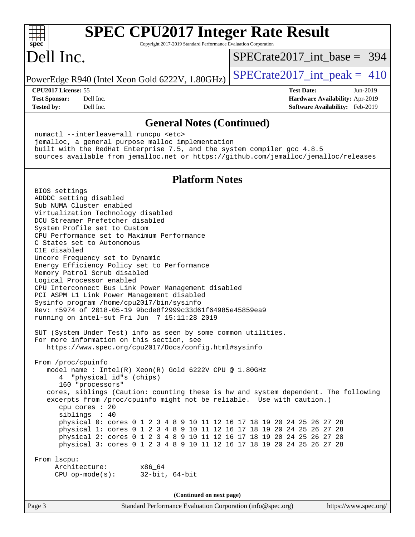

Page 3 Standard Performance Evaluation Corporation [\(info@spec.org\)](mailto:info@spec.org) <https://www.spec.org/>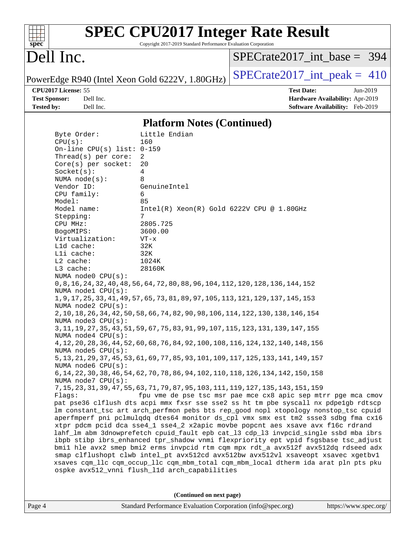| S<br>æ<br>I)<br>C |  |  |  |  |
|-------------------|--|--|--|--|

# **[SPEC CPU2017 Integer Rate Result](http://www.spec.org/auto/cpu2017/Docs/result-fields.html#SPECCPU2017IntegerRateResult)**

Copyright 2017-2019 Standard Performance Evaluation Corporation

# Dell Inc.

[SPECrate2017\\_int\\_base =](http://www.spec.org/auto/cpu2017/Docs/result-fields.html#SPECrate2017intbase) 394

PowerEdge R940 (Intel Xeon Gold 6222V, 1.80GHz)  $\left|$  [SPECrate2017\\_int\\_peak =](http://www.spec.org/auto/cpu2017/Docs/result-fields.html#SPECrate2017intpeak) 410

**[CPU2017 License:](http://www.spec.org/auto/cpu2017/Docs/result-fields.html#CPU2017License)** 55 **[Test Date:](http://www.spec.org/auto/cpu2017/Docs/result-fields.html#TestDate)** Jun-2019 **[Test Sponsor:](http://www.spec.org/auto/cpu2017/Docs/result-fields.html#TestSponsor)** Dell Inc. **[Hardware Availability:](http://www.spec.org/auto/cpu2017/Docs/result-fields.html#HardwareAvailability)** Apr-2019 **[Tested by:](http://www.spec.org/auto/cpu2017/Docs/result-fields.html#Testedby)** Dell Inc. **[Software Availability:](http://www.spec.org/auto/cpu2017/Docs/result-fields.html#SoftwareAvailability)** Feb-2019

### **[Platform Notes \(Continued\)](http://www.spec.org/auto/cpu2017/Docs/result-fields.html#PlatformNotes)**

| Byte Order:<br>CPU(s):       | Little Endian<br>160                                                                                                                                                     |
|------------------------------|--------------------------------------------------------------------------------------------------------------------------------------------------------------------------|
| On-line CPU(s) list: $0-159$ |                                                                                                                                                                          |
| Thread(s) per core:          | $\overline{2}$                                                                                                                                                           |
| Core(s) per socket:          | 20                                                                                                                                                                       |
| Socket(s):                   | 4                                                                                                                                                                        |
| NUMA $node(s)$ :             | 8                                                                                                                                                                        |
| Vendor ID:                   | GenuineIntel                                                                                                                                                             |
| CPU family:                  | 6                                                                                                                                                                        |
| Model:                       | 85                                                                                                                                                                       |
| Model name:                  | $Intel(R) Xeon(R) Gold 6222V CPU @ 1.80GHz$                                                                                                                              |
| Stepping:                    | 7                                                                                                                                                                        |
| CPU MHz:                     | 2805.725                                                                                                                                                                 |
| BogoMIPS:                    | 3600.00                                                                                                                                                                  |
| Virtualization:              | $VT - x$                                                                                                                                                                 |
| L1d cache:                   | 32K                                                                                                                                                                      |
| Lli cache:                   | 32K                                                                                                                                                                      |
| L2 cache:                    | 1024K                                                                                                                                                                    |
| L3 cache:                    | 28160K                                                                                                                                                                   |
| NUMA node0 CPU(s):           |                                                                                                                                                                          |
|                              | 0, 8, 16, 24, 32, 40, 48, 56, 64, 72, 80, 88, 96, 104, 112, 120, 128, 136, 144, 152                                                                                      |
| NUMA $node1$ $CPU(s):$       |                                                                                                                                                                          |
|                              | 1, 9, 17, 25, 33, 41, 49, 57, 65, 73, 81, 89, 97, 105, 113, 121, 129, 137, 145, 153                                                                                      |
| NUMA node2 CPU(s):           |                                                                                                                                                                          |
|                              | 2, 10, 18, 26, 34, 42, 50, 58, 66, 74, 82, 90, 98, 106, 114, 122, 130, 138, 146, 154                                                                                     |
| NUMA $node3$ $CPU(s)$ :      |                                                                                                                                                                          |
|                              | 3, 11, 19, 27, 35, 43, 51, 59, 67, 75, 83, 91, 99, 107, 115, 123, 131, 139, 147, 155                                                                                     |
| NUMA $node4$ $CPU(s)$ :      |                                                                                                                                                                          |
|                              | 4, 12, 20, 28, 36, 44, 52, 60, 68, 76, 84, 92, 100, 108, 116, 124, 132, 140, 148, 156                                                                                    |
| NUMA node5 $CPU(s):$         |                                                                                                                                                                          |
|                              | 5, 13, 21, 29, 37, 45, 53, 61, 69, 77, 85, 93, 101, 109, 117, 125, 133, 141, 149, 157                                                                                    |
| NUMA node6 CPU(s):           |                                                                                                                                                                          |
|                              | 6, 14, 22, 30, 38, 46, 54, 62, 70, 78, 86, 94, 102, 110, 118, 126, 134, 142, 150, 158                                                                                    |
| NUMA node7 CPU(s):           |                                                                                                                                                                          |
|                              | 7, 15, 23, 31, 39, 47, 55, 63, 71, 79, 87, 95, 103, 111, 119, 127, 135, 143, 151, 159                                                                                    |
| Flags:                       | fpu vme de pse tsc msr pae mce cx8 apic sep mtrr pge mca cmov                                                                                                            |
|                              | pat pse36 clflush dts acpi mmx fxsr sse sse2 ss ht tm pbe syscall nx pdpe1gb rdtscp                                                                                      |
|                              | lm constant_tsc art arch_perfmon pebs bts rep_good nopl xtopology nonstop_tsc cpuid                                                                                      |
|                              | aperfmperf pni pclmulqdq dtes64 monitor ds_cpl vmx smx est tm2 ssse3 sdbg fma cx16<br>xtpr pdcm pcid dca sse4_1 sse4_2 x2apic movbe popcnt aes xsave avx f16c rdrand     |
|                              | lahf_lm abm 3dnowprefetch cpuid_fault epb cat_13 cdp_13 invpcid_single ssbd mba ibrs                                                                                     |
|                              |                                                                                                                                                                          |
|                              | ibpb stibp ibrs_enhanced tpr_shadow vnmi flexpriority ept vpid fsgsbase tsc_adjust<br>bmil hle avx2 smep bmi2 erms invpcid rtm cqm mpx rdt_a avx512f avx512dq rdseed adx |
|                              | smap clflushopt clwb intel_pt avx512cd avx512bw avx512vl xsaveopt xsavec xgetbvl                                                                                         |
|                              | xsaves cqm_llc cqm_occup_llc cqm_mbm_total cqm_mbm_local dtherm ida arat pln pts pku                                                                                     |
|                              | ospke avx512_vnni flush_l1d arch_capabilities                                                                                                                            |
|                              |                                                                                                                                                                          |
|                              |                                                                                                                                                                          |

**(Continued on next page)**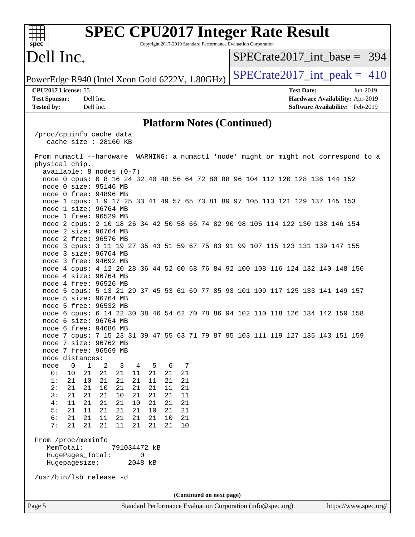| <b>SPEC CPU2017 Integer Rate Result</b><br>Copyright 2017-2019 Standard Performance Evaluation Corporation<br>spec <sup>®</sup>                                                                                                                                                                                                                                                                                                                                                                                                       |                                                                                                     |
|---------------------------------------------------------------------------------------------------------------------------------------------------------------------------------------------------------------------------------------------------------------------------------------------------------------------------------------------------------------------------------------------------------------------------------------------------------------------------------------------------------------------------------------|-----------------------------------------------------------------------------------------------------|
| Dell Inc.                                                                                                                                                                                                                                                                                                                                                                                                                                                                                                                             | $SPECrate2017$ int base = 394                                                                       |
| PowerEdge R940 (Intel Xeon Gold 6222V, 1.80GHz)                                                                                                                                                                                                                                                                                                                                                                                                                                                                                       | $SPECrate2017\_int\_peak = 410$                                                                     |
| CPU2017 License: 55<br><b>Test Sponsor:</b><br>Dell Inc.<br>Dell Inc.<br><b>Tested by:</b>                                                                                                                                                                                                                                                                                                                                                                                                                                            | <b>Test Date:</b><br>Jun-2019<br>Hardware Availability: Apr-2019<br>Software Availability: Feb-2019 |
| <b>Platform Notes (Continued)</b>                                                                                                                                                                                                                                                                                                                                                                                                                                                                                                     |                                                                                                     |
| /proc/cpuinfo cache data<br>cache size : 28160 KB<br>From numactl --hardware WARNING: a numactl 'node' might or might not correspond to a<br>physical chip.                                                                                                                                                                                                                                                                                                                                                                           |                                                                                                     |
| available: 8 nodes (0-7)<br>node 0 cpus: 0 8 16 24 32 40 48 56 64 72 80 88 96 104 112 120 128 136 144 152<br>node 0 size: 95146 MB<br>node 0 free: 94896 MB<br>node 1 cpus: 1 9 17 25 33 41 49 57 65 73 81 89 97 105 113 121 129 137 145 153                                                                                                                                                                                                                                                                                          |                                                                                                     |
| node 1 size: 96764 MB<br>node 1 free: 96529 MB<br>node 2 cpus: 2 10 18 26 34 42 50 58 66 74 82 90 98 106 114 122 130 138 146 154<br>node 2 size: 96764 MB<br>node 2 free: 96576 MB                                                                                                                                                                                                                                                                                                                                                    |                                                                                                     |
| node 3 cpus: 3 11 19 27 35 43 51 59 67 75 83 91 99 107 115 123 131 139 147 155<br>node 3 size: 96764 MB<br>node 3 free: 94692 MB<br>node 4 cpus: 4 12 20 28 36 44 52 60 68 76 84 92 100 108 116 124 132 140 148 156<br>node 4 size: 96764 MB                                                                                                                                                                                                                                                                                          |                                                                                                     |
| node 4 free: 96526 MB<br>node 5 cpus: 5 13 21 29 37 45 53 61 69 77 85 93 101 109 117 125 133 141 149 157<br>node 5 size: 96764 MB<br>node 5 free: 96532 MB<br>node 6 cpus: 6 14 22 30 38 46 54 62 70 78 86 94 102 110 118 126 134 142 150 158                                                                                                                                                                                                                                                                                         |                                                                                                     |
| node 6 size: 96764 MB<br>node 6 free: 94686 MB<br>node 7 cpus: 7 15 23 31 39 47 55 63 71 79 87 95 103 111 119 127 135 143 151 159<br>node 7 size: 96762 MB<br>node 7 free: 96569 MB                                                                                                                                                                                                                                                                                                                                                   |                                                                                                     |
| node distances:<br>$\mathbf 0$<br>$\mathbf{1}$<br>node<br>5<br>6<br>7<br>2<br>3<br>4<br>21<br>0 :<br>10<br>21<br>21<br>21<br>11<br>21<br>21<br>21<br>1:<br>21<br>10<br>21<br>21<br>21<br>11<br>21<br>2:<br>21<br>21<br>21<br>21<br>11<br>21<br>21<br>10<br>3:<br>21<br>21<br>21<br>21<br>21<br>10<br>21<br>11<br>11<br>21<br>4:<br>21<br>21<br>10<br>21<br>21<br>21<br>5:<br>21<br>21<br>11<br>21<br>21<br>10<br>21<br>21<br>6:<br>21<br>21<br>11<br>21<br>21<br>21<br>10<br>21<br>7:<br>21<br>21<br>21<br>11<br>21<br>21<br>21<br>10 |                                                                                                     |
| From /proc/meminfo<br>MemTotal:<br>791034472 kB<br>HugePages_Total:<br>0<br>Hugepagesize:<br>2048 kB<br>/usr/bin/lsb_release -d                                                                                                                                                                                                                                                                                                                                                                                                       |                                                                                                     |
| (Continued on next page)                                                                                                                                                                                                                                                                                                                                                                                                                                                                                                              |                                                                                                     |
| Page 5<br>Standard Performance Evaluation Corporation (info@spec.org)                                                                                                                                                                                                                                                                                                                                                                                                                                                                 | https://www.spec.org/                                                                               |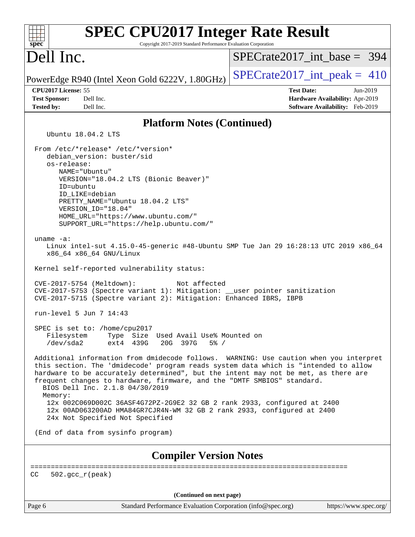| <b>SPEC CPU2017 Integer Rate Result</b><br>spec <sup>®</sup><br>Copyright 2017-2019 Standard Performance Evaluation Corporation                                                                                                                                                                                                                                                                                                                                          |                                 |
|--------------------------------------------------------------------------------------------------------------------------------------------------------------------------------------------------------------------------------------------------------------------------------------------------------------------------------------------------------------------------------------------------------------------------------------------------------------------------|---------------------------------|
| Dell Inc.                                                                                                                                                                                                                                                                                                                                                                                                                                                                | $SPECrate2017$ int base = 394   |
| PowerEdge R940 (Intel Xeon Gold 6222V, 1.80GHz)                                                                                                                                                                                                                                                                                                                                                                                                                          | $SPECrate2017\_int\_peak = 410$ |
| CPU2017 License: 55                                                                                                                                                                                                                                                                                                                                                                                                                                                      | <b>Test Date:</b><br>Jun-2019   |
| <b>Test Sponsor:</b><br>Dell Inc.                                                                                                                                                                                                                                                                                                                                                                                                                                        | Hardware Availability: Apr-2019 |
| <b>Tested by:</b><br>Dell Inc.                                                                                                                                                                                                                                                                                                                                                                                                                                           | Software Availability: Feb-2019 |
| <b>Platform Notes (Continued)</b>                                                                                                                                                                                                                                                                                                                                                                                                                                        |                                 |
| Ubuntu 18.04.2 LTS                                                                                                                                                                                                                                                                                                                                                                                                                                                       |                                 |
| From /etc/*release* /etc/*version*<br>debian_version: buster/sid<br>os-release:<br>NAME="Ubuntu"<br>VERSION="18.04.2 LTS (Bionic Beaver)"<br>ID=ubuntu<br>ID_LIKE=debian<br>PRETTY_NAME="Ubuntu 18.04.2 LTS"<br>VERSION_ID="18.04"<br>HOME_URL="https://www.ubuntu.com/"<br>SUPPORT_URL="https://help.ubuntu.com/"                                                                                                                                                       |                                 |
| uname $-a$ :<br>Linux intel-sut 4.15.0-45-generic #48-Ubuntu SMP Tue Jan 29 16:28:13 UTC 2019 x86_64<br>x86_64 x86_64 GNU/Linux<br>Kernel self-reported vulnerability status:<br>CVE-2017-5754 (Meltdown):<br>Not affected<br>CVE-2017-5753 (Spectre variant 1): Mitigation: __user pointer sanitization<br>CVE-2017-5715 (Spectre variant 2): Mitigation: Enhanced IBRS, IBPB                                                                                           |                                 |
| run-level 5 Jun 7 14:43                                                                                                                                                                                                                                                                                                                                                                                                                                                  |                                 |
| SPEC is set to: /home/cpu2017<br>Filesystem<br>Type<br>Size Used Avail Use% Mounted on<br>/dev/sda2<br>ext4 439G<br>20G 397G<br>$5\%$ /                                                                                                                                                                                                                                                                                                                                  |                                 |
| Additional information from dmidecode follows. WARNING: Use caution when you interpret<br>this section. The 'dmidecode' program reads system data which is "intended to allow<br>hardware to be accurately determined", but the intent may not be met, as there are<br>frequent changes to hardware, firmware, and the "DMTF SMBIOS" standard.<br>BIOS Dell Inc. 2.1.8 04/30/2019<br>Memory:<br>12x 002C069D002C 36ASF4G72PZ-2G9E2 32 GB 2 rank 2933, configured at 2400 |                                 |
| 12x 00AD063200AD HMA84GR7CJR4N-WM 32 GB 2 rank 2933, configured at 2400<br>24x Not Specified Not Specified                                                                                                                                                                                                                                                                                                                                                               |                                 |
| (End of data from sysinfo program)                                                                                                                                                                                                                                                                                                                                                                                                                                       |                                 |
| <b>Compiler Version Notes</b>                                                                                                                                                                                                                                                                                                                                                                                                                                            |                                 |
| CC<br>$502. \text{gcc\_r}(\text{peak})$                                                                                                                                                                                                                                                                                                                                                                                                                                  | ----------------------          |
|                                                                                                                                                                                                                                                                                                                                                                                                                                                                          |                                 |
| (Continued on next page)<br>Page 6<br>Standard Performance Evaluation Corporation (info@spec.org)                                                                                                                                                                                                                                                                                                                                                                        | https://www.spec.org/           |
|                                                                                                                                                                                                                                                                                                                                                                                                                                                                          |                                 |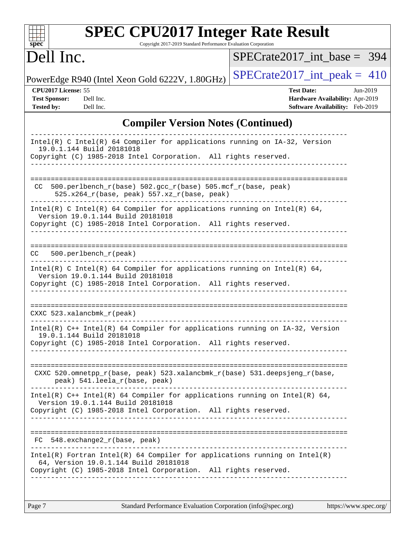| <b>SPEC CPU2017 Integer Rate Result</b><br>Copyright 2017-2019 Standard Performance Evaluation Corporation<br>$spec^*$                                                                                                         |                                 |  |  |  |  |
|--------------------------------------------------------------------------------------------------------------------------------------------------------------------------------------------------------------------------------|---------------------------------|--|--|--|--|
| Dell Inc.                                                                                                                                                                                                                      | $SPECrate2017$ int base = 394   |  |  |  |  |
| PowerEdge R940 (Intel Xeon Gold 6222V, 1.80GHz)                                                                                                                                                                                | $SPECrate2017\_int\_peak = 410$ |  |  |  |  |
| CPU2017 License: 55<br><b>Test Date:</b><br><b>Test Sponsor:</b><br>Dell Inc.<br>Hardware Availability: Apr-2019<br>Software Availability: Feb-2019<br><b>Tested by:</b><br>Dell Inc.                                          |                                 |  |  |  |  |
| <b>Compiler Version Notes (Continued)</b>                                                                                                                                                                                      |                                 |  |  |  |  |
| Intel(R) C Intel(R) 64 Compiler for applications running on IA-32, Version<br>19.0.1.144 Build 20181018<br>Copyright (C) 1985-2018 Intel Corporation. All rights reserved.                                                     |                                 |  |  |  |  |
| $500. perlbench_r(base) 502. gcc_r(base) 505. mcf_r(base, peak)$<br>CC.<br>525.x264_r(base, peak) 557.xz_r(base, peak)                                                                                                         |                                 |  |  |  |  |
| Intel(R) C Intel(R) 64 Compiler for applications running on Intel(R) 64,<br>Version 19.0.1.144 Build 20181018<br>Copyright (C) 1985-2018 Intel Corporation. All rights reserved.                                               |                                 |  |  |  |  |
| 500.perlbench_r(peak)<br>CC.                                                                                                                                                                                                   |                                 |  |  |  |  |
| Intel(R) C Intel(R) 64 Compiler for applications running on Intel(R) 64,<br>Version 19.0.1.144 Build 20181018<br>Copyright (C) 1985-2018 Intel Corporation. All rights reserved.                                               |                                 |  |  |  |  |
| CXXC $523.$ xalancbmk $r(\text{peak})$                                                                                                                                                                                         |                                 |  |  |  |  |
| $Intel(R)$ C++ Intel(R) 64 Compiler for applications running on IA-32, Version<br>19.0.1.144 Build 20181018<br>Copyright (C) 1985-2018 Intel Corporation. All rights reserved.                                                 |                                 |  |  |  |  |
| CXXC 520.omnetpp_r(base, peak) 523.xalancbmk_r(base) 531.deepsjeng_r(base,<br>peak) 541.leela_r(base, peak)                                                                                                                    |                                 |  |  |  |  |
| Intel(R) $C++$ Intel(R) 64 Compiler for applications running on Intel(R) 64,<br>Version 19.0.1.144 Build 20181018<br>Copyright (C) 1985-2018 Intel Corporation. All rights reserved.<br>______________________________________ |                                 |  |  |  |  |
| FC 548.exchange2_r(base, peak)                                                                                                                                                                                                 |                                 |  |  |  |  |
| $Intel(R)$ Fortran Intel(R) 64 Compiler for applications running on Intel(R)<br>64, Version 19.0.1.144 Build 20181018<br>Copyright (C) 1985-2018 Intel Corporation. All rights reserved.                                       |                                 |  |  |  |  |
|                                                                                                                                                                                                                                |                                 |  |  |  |  |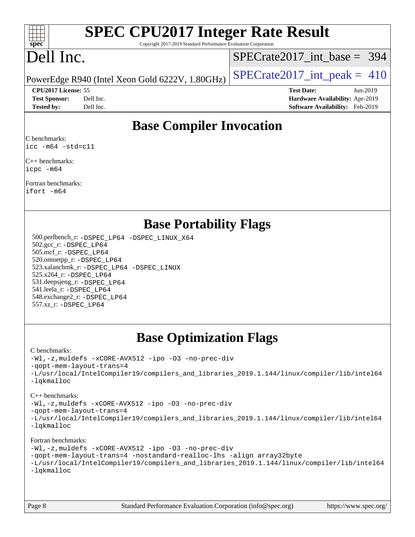

# **[SPEC CPU2017 Integer Rate Result](http://www.spec.org/auto/cpu2017/Docs/result-fields.html#SPECCPU2017IntegerRateResult)**

Copyright 2017-2019 Standard Performance Evaluation Corporation

# Dell Inc.

[SPECrate2017\\_int\\_base =](http://www.spec.org/auto/cpu2017/Docs/result-fields.html#SPECrate2017intbase) 394

PowerEdge R940 (Intel Xeon Gold 6222V, 1.80GHz)  $\vert$  [SPECrate2017\\_int\\_peak =](http://www.spec.org/auto/cpu2017/Docs/result-fields.html#SPECrate2017intpeak) 410

**[CPU2017 License:](http://www.spec.org/auto/cpu2017/Docs/result-fields.html#CPU2017License)** 55 **[Test Date:](http://www.spec.org/auto/cpu2017/Docs/result-fields.html#TestDate)** Jun-2019 **[Test Sponsor:](http://www.spec.org/auto/cpu2017/Docs/result-fields.html#TestSponsor)** Dell Inc. **[Hardware Availability:](http://www.spec.org/auto/cpu2017/Docs/result-fields.html#HardwareAvailability)** Apr-2019 **[Tested by:](http://www.spec.org/auto/cpu2017/Docs/result-fields.html#Testedby)** Dell Inc. **[Software Availability:](http://www.spec.org/auto/cpu2017/Docs/result-fields.html#SoftwareAvailability)** Feb-2019

## **[Base Compiler Invocation](http://www.spec.org/auto/cpu2017/Docs/result-fields.html#BaseCompilerInvocation)**

[C benchmarks](http://www.spec.org/auto/cpu2017/Docs/result-fields.html#Cbenchmarks): [icc -m64 -std=c11](http://www.spec.org/cpu2017/results/res2019q3/cpu2017-20190708-15928.flags.html#user_CCbase_intel_icc_64bit_c11_33ee0cdaae7deeeab2a9725423ba97205ce30f63b9926c2519791662299b76a0318f32ddfffdc46587804de3178b4f9328c46fa7c2b0cd779d7a61945c91cd35)

[C++ benchmarks](http://www.spec.org/auto/cpu2017/Docs/result-fields.html#CXXbenchmarks): [icpc -m64](http://www.spec.org/cpu2017/results/res2019q3/cpu2017-20190708-15928.flags.html#user_CXXbase_intel_icpc_64bit_4ecb2543ae3f1412ef961e0650ca070fec7b7afdcd6ed48761b84423119d1bf6bdf5cad15b44d48e7256388bc77273b966e5eb805aefd121eb22e9299b2ec9d9)

[Fortran benchmarks:](http://www.spec.org/auto/cpu2017/Docs/result-fields.html#Fortranbenchmarks) [ifort -m64](http://www.spec.org/cpu2017/results/res2019q3/cpu2017-20190708-15928.flags.html#user_FCbase_intel_ifort_64bit_24f2bb282fbaeffd6157abe4f878425411749daecae9a33200eee2bee2fe76f3b89351d69a8130dd5949958ce389cf37ff59a95e7a40d588e8d3a57e0c3fd751)

### **[Base Portability Flags](http://www.spec.org/auto/cpu2017/Docs/result-fields.html#BasePortabilityFlags)**

 500.perlbench\_r: [-DSPEC\\_LP64](http://www.spec.org/cpu2017/results/res2019q3/cpu2017-20190708-15928.flags.html#b500.perlbench_r_basePORTABILITY_DSPEC_LP64) [-DSPEC\\_LINUX\\_X64](http://www.spec.org/cpu2017/results/res2019q3/cpu2017-20190708-15928.flags.html#b500.perlbench_r_baseCPORTABILITY_DSPEC_LINUX_X64) 502.gcc\_r: [-DSPEC\\_LP64](http://www.spec.org/cpu2017/results/res2019q3/cpu2017-20190708-15928.flags.html#suite_basePORTABILITY502_gcc_r_DSPEC_LP64) 505.mcf\_r: [-DSPEC\\_LP64](http://www.spec.org/cpu2017/results/res2019q3/cpu2017-20190708-15928.flags.html#suite_basePORTABILITY505_mcf_r_DSPEC_LP64) 520.omnetpp\_r: [-DSPEC\\_LP64](http://www.spec.org/cpu2017/results/res2019q3/cpu2017-20190708-15928.flags.html#suite_basePORTABILITY520_omnetpp_r_DSPEC_LP64) 523.xalancbmk\_r: [-DSPEC\\_LP64](http://www.spec.org/cpu2017/results/res2019q3/cpu2017-20190708-15928.flags.html#suite_basePORTABILITY523_xalancbmk_r_DSPEC_LP64) [-DSPEC\\_LINUX](http://www.spec.org/cpu2017/results/res2019q3/cpu2017-20190708-15928.flags.html#b523.xalancbmk_r_baseCXXPORTABILITY_DSPEC_LINUX) 525.x264\_r: [-DSPEC\\_LP64](http://www.spec.org/cpu2017/results/res2019q3/cpu2017-20190708-15928.flags.html#suite_basePORTABILITY525_x264_r_DSPEC_LP64) 531.deepsjeng\_r: [-DSPEC\\_LP64](http://www.spec.org/cpu2017/results/res2019q3/cpu2017-20190708-15928.flags.html#suite_basePORTABILITY531_deepsjeng_r_DSPEC_LP64) 541.leela\_r: [-DSPEC\\_LP64](http://www.spec.org/cpu2017/results/res2019q3/cpu2017-20190708-15928.flags.html#suite_basePORTABILITY541_leela_r_DSPEC_LP64) 548.exchange2\_r: [-DSPEC\\_LP64](http://www.spec.org/cpu2017/results/res2019q3/cpu2017-20190708-15928.flags.html#suite_basePORTABILITY548_exchange2_r_DSPEC_LP64) 557.xz\_r: [-DSPEC\\_LP64](http://www.spec.org/cpu2017/results/res2019q3/cpu2017-20190708-15928.flags.html#suite_basePORTABILITY557_xz_r_DSPEC_LP64)

## **[Base Optimization Flags](http://www.spec.org/auto/cpu2017/Docs/result-fields.html#BaseOptimizationFlags)**

### [C benchmarks](http://www.spec.org/auto/cpu2017/Docs/result-fields.html#Cbenchmarks):

[-Wl,-z,muldefs](http://www.spec.org/cpu2017/results/res2019q3/cpu2017-20190708-15928.flags.html#user_CCbase_link_force_multiple1_b4cbdb97b34bdee9ceefcfe54f4c8ea74255f0b02a4b23e853cdb0e18eb4525ac79b5a88067c842dd0ee6996c24547a27a4b99331201badda8798ef8a743f577) [-xCORE-AVX512](http://www.spec.org/cpu2017/results/res2019q3/cpu2017-20190708-15928.flags.html#user_CCbase_f-xCORE-AVX512) [-ipo](http://www.spec.org/cpu2017/results/res2019q3/cpu2017-20190708-15928.flags.html#user_CCbase_f-ipo) [-O3](http://www.spec.org/cpu2017/results/res2019q3/cpu2017-20190708-15928.flags.html#user_CCbase_f-O3) [-no-prec-div](http://www.spec.org/cpu2017/results/res2019q3/cpu2017-20190708-15928.flags.html#user_CCbase_f-no-prec-div) [-qopt-mem-layout-trans=4](http://www.spec.org/cpu2017/results/res2019q3/cpu2017-20190708-15928.flags.html#user_CCbase_f-qopt-mem-layout-trans_fa39e755916c150a61361b7846f310bcdf6f04e385ef281cadf3647acec3f0ae266d1a1d22d972a7087a248fd4e6ca390a3634700869573d231a252c784941a8) [-L/usr/local/IntelCompiler19/compilers\\_and\\_libraries\\_2019.1.144/linux/compiler/lib/intel64](http://www.spec.org/cpu2017/results/res2019q3/cpu2017-20190708-15928.flags.html#user_CCbase_qkmalloc_link_f25da0aa8cf9bced0533715046f0c2fbfb1a7191e3e496916672e09b4c388a884c4c7e4862cb529343da2264b43416df65c99fd1ddbf5dd13ae6d3130cf47881) [-lqkmalloc](http://www.spec.org/cpu2017/results/res2019q3/cpu2017-20190708-15928.flags.html#user_CCbase_qkmalloc_link_lib_79a818439969f771c6bc311cfd333c00fc099dad35c030f5aab9dda831713d2015205805422f83de8875488a2991c0a156aaa600e1f9138f8fc37004abc96dc5)

### [C++ benchmarks](http://www.spec.org/auto/cpu2017/Docs/result-fields.html#CXXbenchmarks):

[-Wl,-z,muldefs](http://www.spec.org/cpu2017/results/res2019q3/cpu2017-20190708-15928.flags.html#user_CXXbase_link_force_multiple1_b4cbdb97b34bdee9ceefcfe54f4c8ea74255f0b02a4b23e853cdb0e18eb4525ac79b5a88067c842dd0ee6996c24547a27a4b99331201badda8798ef8a743f577) [-xCORE-AVX512](http://www.spec.org/cpu2017/results/res2019q3/cpu2017-20190708-15928.flags.html#user_CXXbase_f-xCORE-AVX512) [-ipo](http://www.spec.org/cpu2017/results/res2019q3/cpu2017-20190708-15928.flags.html#user_CXXbase_f-ipo) [-O3](http://www.spec.org/cpu2017/results/res2019q3/cpu2017-20190708-15928.flags.html#user_CXXbase_f-O3) [-no-prec-div](http://www.spec.org/cpu2017/results/res2019q3/cpu2017-20190708-15928.flags.html#user_CXXbase_f-no-prec-div)

[-qopt-mem-layout-trans=4](http://www.spec.org/cpu2017/results/res2019q3/cpu2017-20190708-15928.flags.html#user_CXXbase_f-qopt-mem-layout-trans_fa39e755916c150a61361b7846f310bcdf6f04e385ef281cadf3647acec3f0ae266d1a1d22d972a7087a248fd4e6ca390a3634700869573d231a252c784941a8)

[-L/usr/local/IntelCompiler19/compilers\\_and\\_libraries\\_2019.1.144/linux/compiler/lib/intel64](http://www.spec.org/cpu2017/results/res2019q3/cpu2017-20190708-15928.flags.html#user_CXXbase_qkmalloc_link_f25da0aa8cf9bced0533715046f0c2fbfb1a7191e3e496916672e09b4c388a884c4c7e4862cb529343da2264b43416df65c99fd1ddbf5dd13ae6d3130cf47881) [-lqkmalloc](http://www.spec.org/cpu2017/results/res2019q3/cpu2017-20190708-15928.flags.html#user_CXXbase_qkmalloc_link_lib_79a818439969f771c6bc311cfd333c00fc099dad35c030f5aab9dda831713d2015205805422f83de8875488a2991c0a156aaa600e1f9138f8fc37004abc96dc5)

### [Fortran benchmarks](http://www.spec.org/auto/cpu2017/Docs/result-fields.html#Fortranbenchmarks):

[-Wl,-z,muldefs](http://www.spec.org/cpu2017/results/res2019q3/cpu2017-20190708-15928.flags.html#user_FCbase_link_force_multiple1_b4cbdb97b34bdee9ceefcfe54f4c8ea74255f0b02a4b23e853cdb0e18eb4525ac79b5a88067c842dd0ee6996c24547a27a4b99331201badda8798ef8a743f577) [-xCORE-AVX512](http://www.spec.org/cpu2017/results/res2019q3/cpu2017-20190708-15928.flags.html#user_FCbase_f-xCORE-AVX512) [-ipo](http://www.spec.org/cpu2017/results/res2019q3/cpu2017-20190708-15928.flags.html#user_FCbase_f-ipo) [-O3](http://www.spec.org/cpu2017/results/res2019q3/cpu2017-20190708-15928.flags.html#user_FCbase_f-O3) [-no-prec-div](http://www.spec.org/cpu2017/results/res2019q3/cpu2017-20190708-15928.flags.html#user_FCbase_f-no-prec-div) [-qopt-mem-layout-trans=4](http://www.spec.org/cpu2017/results/res2019q3/cpu2017-20190708-15928.flags.html#user_FCbase_f-qopt-mem-layout-trans_fa39e755916c150a61361b7846f310bcdf6f04e385ef281cadf3647acec3f0ae266d1a1d22d972a7087a248fd4e6ca390a3634700869573d231a252c784941a8) [-nostandard-realloc-lhs](http://www.spec.org/cpu2017/results/res2019q3/cpu2017-20190708-15928.flags.html#user_FCbase_f_2003_std_realloc_82b4557e90729c0f113870c07e44d33d6f5a304b4f63d4c15d2d0f1fab99f5daaed73bdb9275d9ae411527f28b936061aa8b9c8f2d63842963b95c9dd6426b8a) [-align array32byte](http://www.spec.org/cpu2017/results/res2019q3/cpu2017-20190708-15928.flags.html#user_FCbase_align_array32byte_b982fe038af199962ba9a80c053b8342c548c85b40b8e86eb3cc33dee0d7986a4af373ac2d51c3f7cf710a18d62fdce2948f201cd044323541f22fc0fffc51b6) [-L/usr/local/IntelCompiler19/compilers\\_and\\_libraries\\_2019.1.144/linux/compiler/lib/intel64](http://www.spec.org/cpu2017/results/res2019q3/cpu2017-20190708-15928.flags.html#user_FCbase_qkmalloc_link_f25da0aa8cf9bced0533715046f0c2fbfb1a7191e3e496916672e09b4c388a884c4c7e4862cb529343da2264b43416df65c99fd1ddbf5dd13ae6d3130cf47881) [-lqkmalloc](http://www.spec.org/cpu2017/results/res2019q3/cpu2017-20190708-15928.flags.html#user_FCbase_qkmalloc_link_lib_79a818439969f771c6bc311cfd333c00fc099dad35c030f5aab9dda831713d2015205805422f83de8875488a2991c0a156aaa600e1f9138f8fc37004abc96dc5)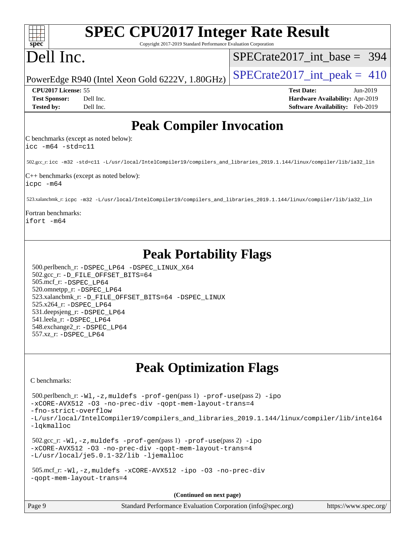| <b>SPEC CPU2017 Integer Rate Result</b><br>spec<br>Copyright 2017-2019 Standard Performance Evaluation Corporation                                                                                                                                                                                                                                                                  |                                                                                                     |
|-------------------------------------------------------------------------------------------------------------------------------------------------------------------------------------------------------------------------------------------------------------------------------------------------------------------------------------------------------------------------------------|-----------------------------------------------------------------------------------------------------|
| Dell Inc.                                                                                                                                                                                                                                                                                                                                                                           | $SPECrate2017$ int base = 394                                                                       |
| PowerEdge R940 (Intel Xeon Gold 6222V, 1.80GHz)                                                                                                                                                                                                                                                                                                                                     | $SPECrate2017\_int\_peak = 410$                                                                     |
| CPU2017 License: 55<br><b>Test Sponsor:</b><br>Dell Inc.<br><b>Tested by:</b><br>Dell Inc.                                                                                                                                                                                                                                                                                          | <b>Test Date:</b><br>Jun-2019<br>Hardware Availability: Apr-2019<br>Software Availability: Feb-2019 |
| <b>Peak Compiler Invocation</b>                                                                                                                                                                                                                                                                                                                                                     |                                                                                                     |
| C benchmarks (except as noted below):<br>$\text{icc -m64 -std=cl1}$                                                                                                                                                                                                                                                                                                                 |                                                                                                     |
| 502.gcc_r: icc -m32 -std=c11 -L/usr/local/IntelCompiler19/compilers_and_libraries_2019.1.144/linux/compiler/lib/ia32_lin                                                                                                                                                                                                                                                            |                                                                                                     |
| $ C++\>$ benchmarks (except as noted below):<br>icpc -m64                                                                                                                                                                                                                                                                                                                           |                                                                                                     |
| 523.xalancbmk_r: icpc -m32 -L/usr/local/IntelCompiler19/compilers_and_libraries_2019.1.144/linux/compiler/lib/ia32_lin                                                                                                                                                                                                                                                              |                                                                                                     |
| Fortran benchmarks:<br>ifort -m64                                                                                                                                                                                                                                                                                                                                                   |                                                                                                     |
| <b>Peak Portability Flags</b><br>500.perlbench_r: -DSPEC_LP64 -DSPEC_LINUX_X64<br>502.gcc_r: -D_FILE_OFFSET_BITS=64<br>505.mcf_r: -DSPEC_LP64<br>520.omnetpp_r: -DSPEC_LP64<br>523.xalancbmk_r: -D_FILE_OFFSET_BITS=64 -DSPEC_LINUX<br>525.x264_r: -DSPEC_LP64<br>531.deepsjeng_r: -DSPEC LP64<br>541.leela_r: -DSPEC_LP64<br>548.exchange2_r: -DSPEC_LP64<br>557.xz_r: -DSPEC LP64 |                                                                                                     |
| <b>Peak Optimization Flags</b><br>C benchmarks:                                                                                                                                                                                                                                                                                                                                     |                                                                                                     |
| $500.\text{perlbench_r: } -W1, -z, \text{muldefs } -\text{prof-gen(pass 1)} -\text{prof-use(pass 2)} -\text{ipo}$<br>-xCORE-AVX512 -03 -no-prec-div -qopt-mem-layout-trans=4<br>-fno-strict-overflow<br>-L/usr/local/IntelCompiler19/compilers_and_libraries_2019.1.144/linux/compiler/lib/intel64<br>-lqkmalloc                                                                    |                                                                                                     |
| $502.\text{sec\_r: } -W1$ , $-z$ , muldefs $-prof-gen(pass1)$ $-prof-use(pass2)$ $-ipo$<br>-xCORE-AVX512 -03 -no-prec-div -qopt-mem-layout-trans=4<br>-L/usr/local/je5.0.1-32/lib -ljemalloc                                                                                                                                                                                        |                                                                                                     |
| 505.mcf_r:-Wl,-z,muldefs -xCORE-AVX512 -ipo -03 -no-prec-div<br>-gopt-mem-layout-trans=4                                                                                                                                                                                                                                                                                            |                                                                                                     |
| (Continued on next page)                                                                                                                                                                                                                                                                                                                                                            |                                                                                                     |

| Page 9 | Standard Performance Evaluation Corporation (info@spec.org) | https://www.spec.org/ |
|--------|-------------------------------------------------------------|-----------------------|
|        |                                                             |                       |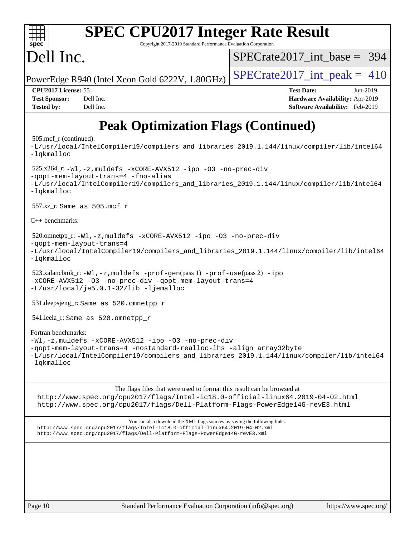| <b>SPEC CPU2017 Integer Rate Result</b><br>spec<br>Copyright 2017-2019 Standard Performance Evaluation Corporation                                                                                                   |                                                                                                     |  |  |  |  |
|----------------------------------------------------------------------------------------------------------------------------------------------------------------------------------------------------------------------|-----------------------------------------------------------------------------------------------------|--|--|--|--|
| Dell Inc.                                                                                                                                                                                                            | $SPECrate2017$ int base = 394                                                                       |  |  |  |  |
| PowerEdge R940 (Intel Xeon Gold 6222V, 1.80GHz)                                                                                                                                                                      | $SPECTate2017\_int\_peak = 410$                                                                     |  |  |  |  |
| CPU2017 License: 55<br><b>Test Sponsor:</b><br>Dell Inc.<br>Dell Inc.<br><b>Tested by:</b>                                                                                                                           | <b>Test Date:</b><br>Jun-2019<br>Hardware Availability: Apr-2019<br>Software Availability: Feb-2019 |  |  |  |  |
| <b>Peak Optimization Flags (Continued)</b>                                                                                                                                                                           |                                                                                                     |  |  |  |  |
| $505 \text{.mcf}_r$ (continued):<br>-L/usr/local/IntelCompiler19/compilers_and_libraries_2019.1.144/linux/compiler/lib/intel64<br>-lqkmalloc                                                                         |                                                                                                     |  |  |  |  |
| $525.x264$ -r:-Wl,-z, muldefs -xCORE-AVX512 -ipo -03 -no-prec-div<br>-gopt-mem-layout-trans=4 -fno-alias<br>-L/usr/local/IntelCompiler19/compilers_and_libraries_2019.1.144/linux/compiler/lib/intel64<br>-lqkmalloc |                                                                                                     |  |  |  |  |
| $557.xz$ _r: Same as $505.mcf$ r                                                                                                                                                                                     |                                                                                                     |  |  |  |  |
| $C++$ benchmarks:                                                                                                                                                                                                    |                                                                                                     |  |  |  |  |
| 520.omnetpp_r: -Wl, -z, muldefs -xCORE-AVX512 -ipo -03 -no-prec-div<br>-gopt-mem-layout-trans=4<br>-L/usr/local/IntelCompiler19/compilers_and_libraries_2019.1.144/linux/compiler/lib/intel64<br>-lqkmalloc          |                                                                                                     |  |  |  |  |
| $523.xalancbmk_r: -W1, -z, multdefs -prof-gen(pass 1) -prof-use(pass 2) -ipo$                                                                                                                                        |                                                                                                     |  |  |  |  |

```
-xCORE-AVX512 -O3 -no-prec-div -qopt-mem-layout-trans=4
-L/usr/local/je5.0.1-32/lib -ljemalloc
```
531.deepsjeng\_r: Same as 520.omnetpp\_r

541.leela\_r: Same as 520.omnetpp\_r

[Fortran benchmarks:](http://www.spec.org/auto/cpu2017/Docs/result-fields.html#Fortranbenchmarks) [-Wl,-z,muldefs](http://www.spec.org/cpu2017/results/res2019q3/cpu2017-20190708-15928.flags.html#user_FCpeak_link_force_multiple1_b4cbdb97b34bdee9ceefcfe54f4c8ea74255f0b02a4b23e853cdb0e18eb4525ac79b5a88067c842dd0ee6996c24547a27a4b99331201badda8798ef8a743f577) [-xCORE-AVX512](http://www.spec.org/cpu2017/results/res2019q3/cpu2017-20190708-15928.flags.html#user_FCpeak_f-xCORE-AVX512) [-ipo](http://www.spec.org/cpu2017/results/res2019q3/cpu2017-20190708-15928.flags.html#user_FCpeak_f-ipo) [-O3](http://www.spec.org/cpu2017/results/res2019q3/cpu2017-20190708-15928.flags.html#user_FCpeak_f-O3) [-no-prec-div](http://www.spec.org/cpu2017/results/res2019q3/cpu2017-20190708-15928.flags.html#user_FCpeak_f-no-prec-div) [-qopt-mem-layout-trans=4](http://www.spec.org/cpu2017/results/res2019q3/cpu2017-20190708-15928.flags.html#user_FCpeak_f-qopt-mem-layout-trans_fa39e755916c150a61361b7846f310bcdf6f04e385ef281cadf3647acec3f0ae266d1a1d22d972a7087a248fd4e6ca390a3634700869573d231a252c784941a8) [-nostandard-realloc-lhs](http://www.spec.org/cpu2017/results/res2019q3/cpu2017-20190708-15928.flags.html#user_FCpeak_f_2003_std_realloc_82b4557e90729c0f113870c07e44d33d6f5a304b4f63d4c15d2d0f1fab99f5daaed73bdb9275d9ae411527f28b936061aa8b9c8f2d63842963b95c9dd6426b8a) [-align array32byte](http://www.spec.org/cpu2017/results/res2019q3/cpu2017-20190708-15928.flags.html#user_FCpeak_align_array32byte_b982fe038af199962ba9a80c053b8342c548c85b40b8e86eb3cc33dee0d7986a4af373ac2d51c3f7cf710a18d62fdce2948f201cd044323541f22fc0fffc51b6) [-L/usr/local/IntelCompiler19/compilers\\_and\\_libraries\\_2019.1.144/linux/compiler/lib/intel64](http://www.spec.org/cpu2017/results/res2019q3/cpu2017-20190708-15928.flags.html#user_FCpeak_qkmalloc_link_f25da0aa8cf9bced0533715046f0c2fbfb1a7191e3e496916672e09b4c388a884c4c7e4862cb529343da2264b43416df65c99fd1ddbf5dd13ae6d3130cf47881) [-lqkmalloc](http://www.spec.org/cpu2017/results/res2019q3/cpu2017-20190708-15928.flags.html#user_FCpeak_qkmalloc_link_lib_79a818439969f771c6bc311cfd333c00fc099dad35c030f5aab9dda831713d2015205805422f83de8875488a2991c0a156aaa600e1f9138f8fc37004abc96dc5)

The flags files that were used to format this result can be browsed at

<http://www.spec.org/cpu2017/flags/Intel-ic18.0-official-linux64.2019-04-02.html> <http://www.spec.org/cpu2017/flags/Dell-Platform-Flags-PowerEdge14G-revE3.html>

You can also download the XML flags sources by saving the following links: <http://www.spec.org/cpu2017/flags/Intel-ic18.0-official-linux64.2019-04-02.xml> <http://www.spec.org/cpu2017/flags/Dell-Platform-Flags-PowerEdge14G-revE3.xml>